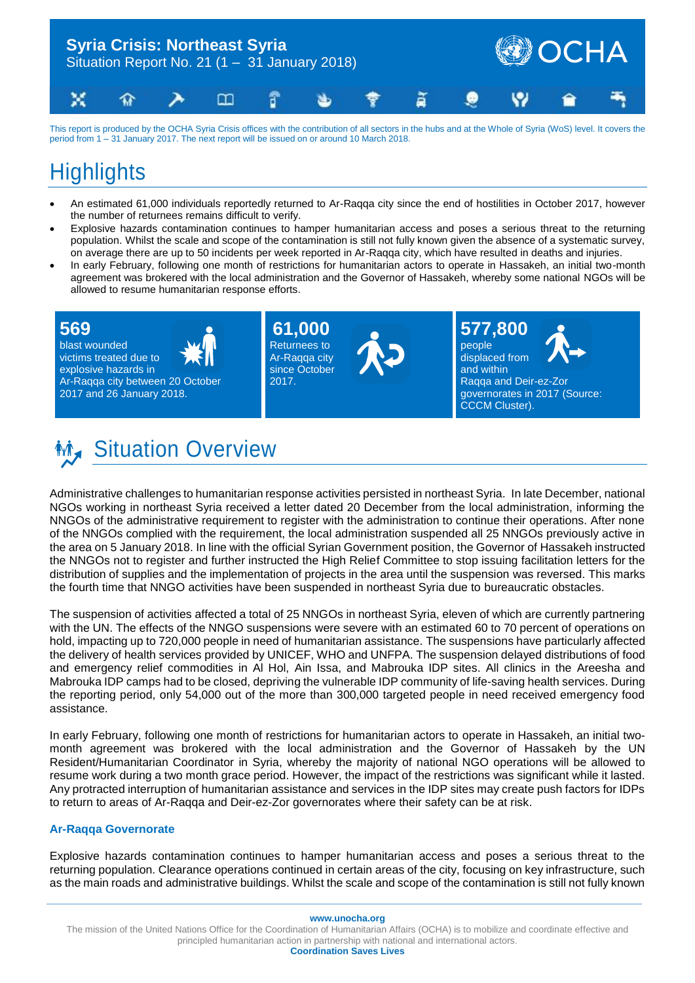

This report is produced by the OCHA Syria Crisis offices with the contribution of all sectors in the hubs and at the Whole of Syria (WoS) level. It covers the period from 1 – 31 January 2017. The next report will be issued on or around 10 March 2018.

## **Highlights**

- An estimated 61,000 individuals reportedly returned to Ar-Raqqa city since the end of hostilities in October 2017, however the number of returnees remains difficult to verify.
- Explosive hazards contamination continues to hamper humanitarian access and poses a serious threat to the returning population. Whilst the scale and scope of the contamination is still not fully known given the absence of a systematic survey, on average there are up to 50 incidents per week reported in Ar-Raqqa city, which have resulted in deaths and injuries.
- In early February, following one month of restrictions for humanitarian actors to operate in Hassakeh, an initial two-month agreement was brokered with the local administration and the Governor of Hassakeh, whereby some national NGOs will be allowed to resume humanitarian response efforts.

### **569**

blast wounded victims treated due to explosive hazards in Ar-Raqqa city between 20 October 2017 and 26 January 2018.



**61,000** Returnees to Ar-Raqqa city since October 2017.



**577,800** people displaced from

and within Raqqa and Deir-ez-Zor governorates in 2017 (Source: CCCM Cluster).

## **Mix** Situation Overview

Administrative challenges to humanitarian response activities persisted in northeast Syria. In late December, national NGOs working in northeast Syria received a letter dated 20 December from the local administration, informing the NNGOs of the administrative requirement to register with the administration to continue their operations. After none of the NNGOs complied with the requirement, the local administration suspended all 25 NNGOs previously active in the area on 5 January 2018. In line with the official Syrian Government position, the Governor of Hassakeh instructed the NNGOs not to register and further instructed the High Relief Committee to stop issuing facilitation letters for the distribution of supplies and the implementation of projects in the area until the suspension was reversed. This marks the fourth time that NNGO activities have been suspended in northeast Syria due to bureaucratic obstacles.

The suspension of activities affected a total of 25 NNGOs in northeast Syria, eleven of which are currently partnering with the UN. The effects of the NNGO suspensions were severe with an estimated 60 to 70 percent of operations on hold, impacting up to 720,000 people in need of humanitarian assistance. The suspensions have particularly affected the delivery of health services provided by UNICEF, WHO and UNFPA. The suspension delayed distributions of food and emergency relief commodities in Al Hol, Ain Issa, and Mabrouka IDP sites. All clinics in the Areesha and Mabrouka IDP camps had to be closed, depriving the vulnerable IDP community of life-saving health services. During the reporting period, only 54,000 out of the more than 300,000 targeted people in need received emergency food assistance.

In early February, following one month of restrictions for humanitarian actors to operate in Hassakeh, an initial twomonth agreement was brokered with the local administration and the Governor of Hassakeh by the UN Resident/Humanitarian Coordinator in Syria, whereby the majority of national NGO operations will be allowed to resume work during a two month grace period. However, the impact of the restrictions was significant while it lasted. Any protracted interruption of humanitarian assistance and services in the IDP sites may create push factors for IDPs to return to areas of Ar-Raqqa and Deir-ez-Zor governorates where their safety can be at risk.

#### **Ar-Raqqa Governorate**

Explosive hazards contamination continues to hamper humanitarian access and poses a serious threat to the returning population. Clearance operations continued in certain areas of the city, focusing on key infrastructure, such as the main roads and administrative buildings. Whilst the scale and scope of the contamination is still not fully known

**www.unocha.org**

**Coordination Saves Lives**

The mission of the United Nations Office for the Coordination of Humanitarian Affairs (OCHA) is to mobilize and coordinate effective and principled humanitarian action in partnership with national and international actors.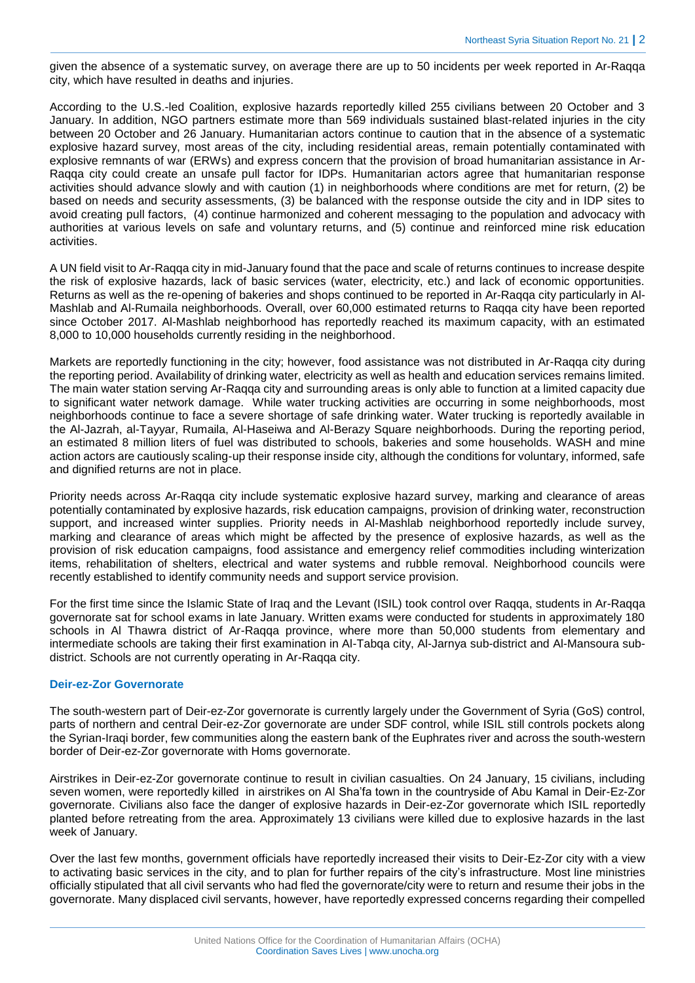given the absence of a systematic survey, on average there are up to 50 incidents per week reported in Ar-Raqqa city, which have resulted in deaths and injuries.

According to the U.S.-led Coalition, explosive hazards reportedly killed 255 civilians between 20 October and 3 January. In addition, NGO partners estimate more than 569 individuals sustained blast-related injuries in the city between 20 October and 26 January. Humanitarian actors continue to caution that in the absence of a systematic explosive hazard survey, most areas of the city, including residential areas, remain potentially contaminated with explosive remnants of war (ERWs) and express concern that the provision of broad humanitarian assistance in Ar-Raqqa city could create an unsafe pull factor for IDPs. Humanitarian actors agree that humanitarian response activities should advance slowly and with caution (1) in neighborhoods where conditions are met for return, (2) be based on needs and security assessments, (3) be balanced with the response outside the city and in IDP sites to avoid creating pull factors, (4) continue harmonized and coherent messaging to the population and advocacy with authorities at various levels on safe and voluntary returns, and (5) continue and reinforced mine risk education activities.

A UN field visit to Ar-Raqqa city in mid-January found that the pace and scale of returns continues to increase despite the risk of explosive hazards, lack of basic services (water, electricity, etc.) and lack of economic opportunities. Returns as well as the re-opening of bakeries and shops continued to be reported in Ar-Raqqa city particularly in Al-Mashlab and Al-Rumaila neighborhoods. Overall, over 60,000 estimated returns to Raqqa city have been reported since October 2017. Al-Mashlab neighborhood has reportedly reached its maximum capacity, with an estimated 8,000 to 10,000 households currently residing in the neighborhood.

Markets are reportedly functioning in the city; however, food assistance was not distributed in Ar-Raqqa city during the reporting period. Availability of drinking water, electricity as well as health and education services remains limited. The main water station serving Ar-Raqqa city and surrounding areas is only able to function at a limited capacity due to significant water network damage. While water trucking activities are occurring in some neighborhoods, most neighborhoods continue to face a severe shortage of safe drinking water. Water trucking is reportedly available in the Al-Jazrah, al-Tayyar, Rumaila, Al-Haseiwa and Al-Berazy Square neighborhoods. During the reporting period, an estimated 8 million liters of fuel was distributed to schools, bakeries and some households. WASH and mine action actors are cautiously scaling-up their response inside city, although the conditions for voluntary, informed, safe and dignified returns are not in place.

Priority needs across Ar-Raqqa city include systematic explosive hazard survey, marking and clearance of areas potentially contaminated by explosive hazards, risk education campaigns, provision of drinking water, reconstruction support, and increased winter supplies. Priority needs in Al-Mashlab neighborhood reportedly include survey, marking and clearance of areas which might be affected by the presence of explosive hazards, as well as the provision of risk education campaigns, food assistance and emergency relief commodities including winterization items, rehabilitation of shelters, electrical and water systems and rubble removal. Neighborhood councils were recently established to identify community needs and support service provision.

For the first time since the Islamic State of Iraq and the Levant (ISIL) took control over Raqqa, students in Ar-Raqqa governorate sat for school exams in late January. Written exams were conducted for students in approximately 180 schools in Al Thawra district of Ar-Raqqa province, where more than 50,000 students from elementary and intermediate schools are taking their first examination in Al-Tabqa city, Al-Jarnya sub-district and Al-Mansoura subdistrict. Schools are not currently operating in Ar-Raqqa city.

#### **Deir-ez-Zor Governorate**

The south-western part of Deir-ez-Zor governorate is currently largely under the Government of Syria (GoS) control, parts of northern and central Deir-ez-Zor governorate are under SDF control, while ISIL still controls pockets along the Syrian-Iraqi border, few communities along the eastern bank of the Euphrates river and across the south-western border of Deir-ez-Zor governorate with Homs governorate.

Airstrikes in Deir-ez-Zor governorate continue to result in civilian casualties. On 24 January, 15 civilians, including seven women, were reportedly killed in airstrikes on Al Sha'fa town in the countryside of Abu Kamal in Deir-Ez-Zor governorate. Civilians also face the danger of explosive hazards in Deir-ez-Zor governorate which ISIL reportedly planted before retreating from the area. Approximately 13 civilians were killed due to explosive hazards in the last week of January.

Over the last few months, government officials have reportedly increased their visits to Deir-Ez-Zor city with a view to activating basic services in the city, and to plan for further repairs of the city's infrastructure. Most line ministries officially stipulated that all civil servants who had fled the governorate/city were to return and resume their jobs in the governorate. Many displaced civil servants, however, have reportedly expressed concerns regarding their compelled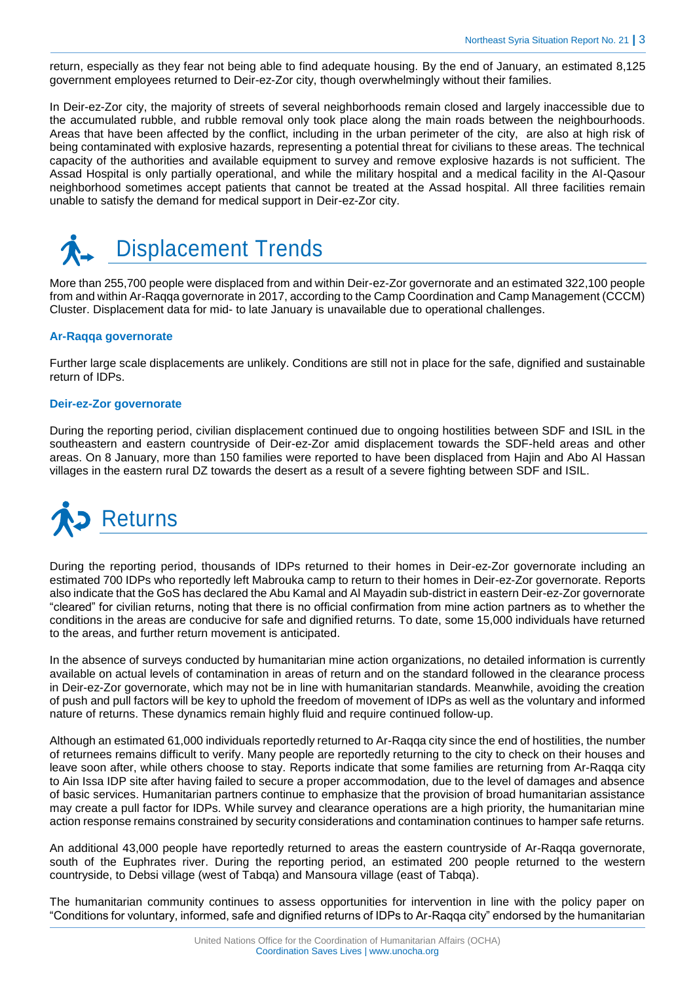return, especially as they fear not being able to find adequate housing. By the end of January, an estimated 8,125 government employees returned to Deir-ez-Zor city, though overwhelmingly without their families.

In Deir-ez-Zor city, the majority of streets of several neighborhoods remain closed and largely inaccessible due to the accumulated rubble, and rubble removal only took place along the main roads between the neighbourhoods. Areas that have been affected by the conflict, including in the urban perimeter of the city, are also at high risk of being contaminated with explosive hazards, representing a potential threat for civilians to these areas. The technical capacity of the authorities and available equipment to survey and remove explosive hazards is not sufficient. The Assad Hospital is only partially operational, and while the military hospital and a medical facility in the Al-Qasour neighborhood sometimes accept patients that cannot be treated at the Assad hospital. All three facilities remain unable to satisfy the demand for medical support in Deir-ez-Zor city.



More than 255,700 people were displaced from and within Deir-ez-Zor governorate and an estimated 322,100 people from and within Ar-Raqqa governorate in 2017, according to the Camp Coordination and Camp Management (CCCM) Cluster. Displacement data for mid- to late January is unavailable due to operational challenges.

#### **Ar-Raqqa governorate**

Further large scale displacements are unlikely. Conditions are still not in place for the safe, dignified and sustainable return of IDPs.

#### **Deir-ez-Zor governorate**

During the reporting period, civilian displacement continued due to ongoing hostilities between SDF and ISIL in the southeastern and eastern countryside of Deir-ez-Zor amid displacement towards the SDF-held areas and other areas. On 8 January, more than 150 families were reported to have been displaced from Hajin and Abo Al Hassan villages in the eastern rural DZ towards the desert as a result of a severe fighting between SDF and ISIL.



During the reporting period, thousands of IDPs returned to their homes in Deir-ez-Zor governorate including an estimated 700 IDPs who reportedly left Mabrouka camp to return to their homes in Deir-ez-Zor governorate. Reports also indicate that the GoS has declared the Abu Kamal and Al Mayadin sub-district in eastern Deir-ez-Zor governorate "cleared" for civilian returns, noting that there is no official confirmation from mine action partners as to whether the conditions in the areas are conducive for safe and dignified returns. To date, some 15,000 individuals have returned to the areas, and further return movement is anticipated.

In the absence of surveys conducted by humanitarian mine action organizations, no detailed information is currently available on actual levels of contamination in areas of return and on the standard followed in the clearance process in Deir-ez-Zor governorate, which may not be in line with humanitarian standards. Meanwhile, avoiding the creation of push and pull factors will be key to uphold the freedom of movement of IDPs as well as the voluntary and informed nature of returns. These dynamics remain highly fluid and require continued follow-up.

Although an estimated 61,000 individuals reportedly returned to Ar-Raqqa city since the end of hostilities, the number of returnees remains difficult to verify. Many people are reportedly returning to the city to check on their houses and leave soon after, while others choose to stay. Reports indicate that some families are returning from Ar-Raqqa city to Ain Issa IDP site after having failed to secure a proper accommodation, due to the level of damages and absence of basic services. Humanitarian partners continue to emphasize that the provision of broad humanitarian assistance may create a pull factor for IDPs. While survey and clearance operations are a high priority, the humanitarian mine action response remains constrained by security considerations and contamination continues to hamper safe returns.

An additional 43,000 people have reportedly returned to areas the eastern countryside of Ar-Raqqa governorate, south of the Euphrates river. During the reporting period, an estimated 200 people returned to the western countryside, to Debsi village (west of Tabqa) and Mansoura village (east of Tabqa).

The humanitarian community continues to assess opportunities for intervention in line with the policy paper on "Conditions for voluntary, informed, safe and dignified returns of IDPs to Ar-Raqqa city" endorsed by the humanitarian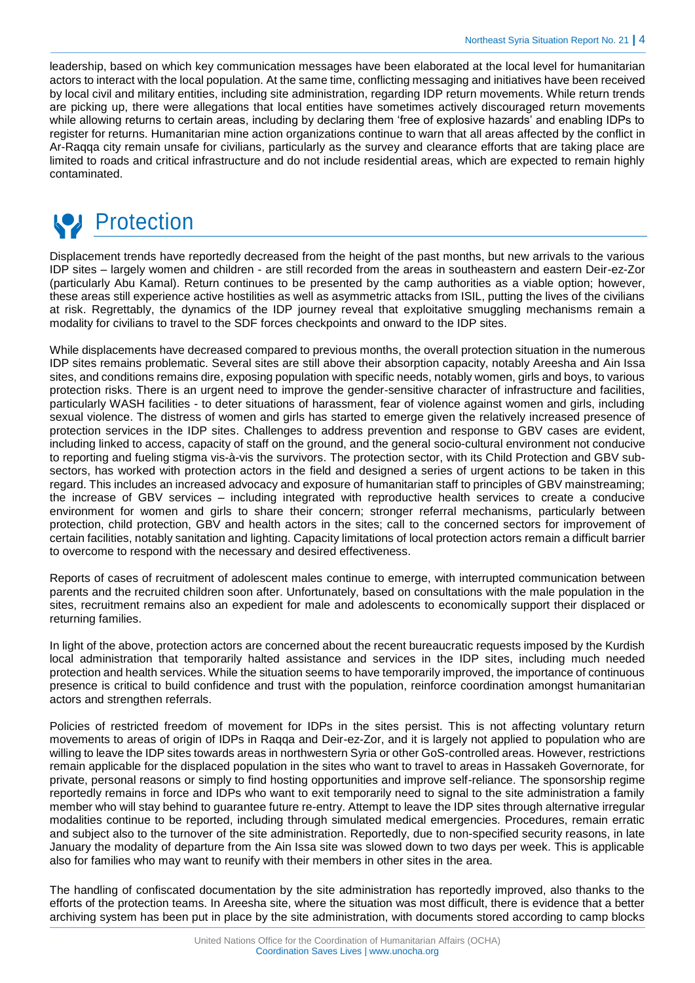leadership, based on which key communication messages have been elaborated at the local level for humanitarian actors to interact with the local population. At the same time, conflicting messaging and initiatives have been received by local civil and military entities, including site administration, regarding IDP return movements. While return trends are picking up, there were allegations that local entities have sometimes actively discouraged return movements while allowing returns to certain areas, including by declaring them 'free of explosive hazards' and enabling IDPs to register for returns. Humanitarian mine action organizations continue to warn that all areas affected by the conflict in Ar-Raqqa city remain unsafe for civilians, particularly as the survey and clearance efforts that are taking place are limited to roads and critical infrastructure and do not include residential areas, which are expected to remain highly contaminated.



Displacement trends have reportedly decreased from the height of the past months, but new arrivals to the various IDP sites – largely women and children - are still recorded from the areas in southeastern and eastern Deir-ez-Zor (particularly Abu Kamal). Return continues to be presented by the camp authorities as a viable option; however, these areas still experience active hostilities as well as asymmetric attacks from ISIL, putting the lives of the civilians at risk. Regrettably, the dynamics of the IDP journey reveal that exploitative smuggling mechanisms remain a modality for civilians to travel to the SDF forces checkpoints and onward to the IDP sites.

While displacements have decreased compared to previous months, the overall protection situation in the numerous IDP sites remains problematic. Several sites are still above their absorption capacity, notably Areesha and Ain Issa sites, and conditions remains dire, exposing population with specific needs, notably women, girls and boys, to various protection risks. There is an urgent need to improve the gender-sensitive character of infrastructure and facilities, particularly WASH facilities - to deter situations of harassment, fear of violence against women and girls, including sexual violence. The distress of women and girls has started to emerge given the relatively increased presence of protection services in the IDP sites. Challenges to address prevention and response to GBV cases are evident, including linked to access, capacity of staff on the ground, and the general socio-cultural environment not conducive to reporting and fueling stigma vis-à-vis the survivors. The protection sector, with its Child Protection and GBV subsectors, has worked with protection actors in the field and designed a series of urgent actions to be taken in this regard. This includes an increased advocacy and exposure of humanitarian staff to principles of GBV mainstreaming; the increase of GBV services – including integrated with reproductive health services to create a conducive environment for women and girls to share their concern; stronger referral mechanisms, particularly between protection, child protection, GBV and health actors in the sites; call to the concerned sectors for improvement of certain facilities, notably sanitation and lighting. Capacity limitations of local protection actors remain a difficult barrier to overcome to respond with the necessary and desired effectiveness.

Reports of cases of recruitment of adolescent males continue to emerge, with interrupted communication between parents and the recruited children soon after. Unfortunately, based on consultations with the male population in the sites, recruitment remains also an expedient for male and adolescents to economically support their displaced or returning families.

In light of the above, protection actors are concerned about the recent bureaucratic requests imposed by the Kurdish local administration that temporarily halted assistance and services in the IDP sites, including much needed protection and health services. While the situation seems to have temporarily improved, the importance of continuous presence is critical to build confidence and trust with the population, reinforce coordination amongst humanitarian actors and strengthen referrals.

Policies of restricted freedom of movement for IDPs in the sites persist. This is not affecting voluntary return movements to areas of origin of IDPs in Raqqa and Deir-ez-Zor, and it is largely not applied to population who are willing to leave the IDP sites towards areas in northwestern Syria or other GoS-controlled areas. However, restrictions remain applicable for the displaced population in the sites who want to travel to areas in Hassakeh Governorate, for private, personal reasons or simply to find hosting opportunities and improve self-reliance. The sponsorship regime reportedly remains in force and IDPs who want to exit temporarily need to signal to the site administration a family member who will stay behind to guarantee future re-entry. Attempt to leave the IDP sites through alternative irregular modalities continue to be reported, including through simulated medical emergencies. Procedures, remain erratic and subject also to the turnover of the site administration. Reportedly, due to non-specified security reasons, in late January the modality of departure from the Ain Issa site was slowed down to two days per week. This is applicable also for families who may want to reunify with their members in other sites in the area.

The handling of confiscated documentation by the site administration has reportedly improved, also thanks to the efforts of the protection teams. In Areesha site, where the situation was most difficult, there is evidence that a better archiving system has been put in place by the site administration, with documents stored according to camp blocks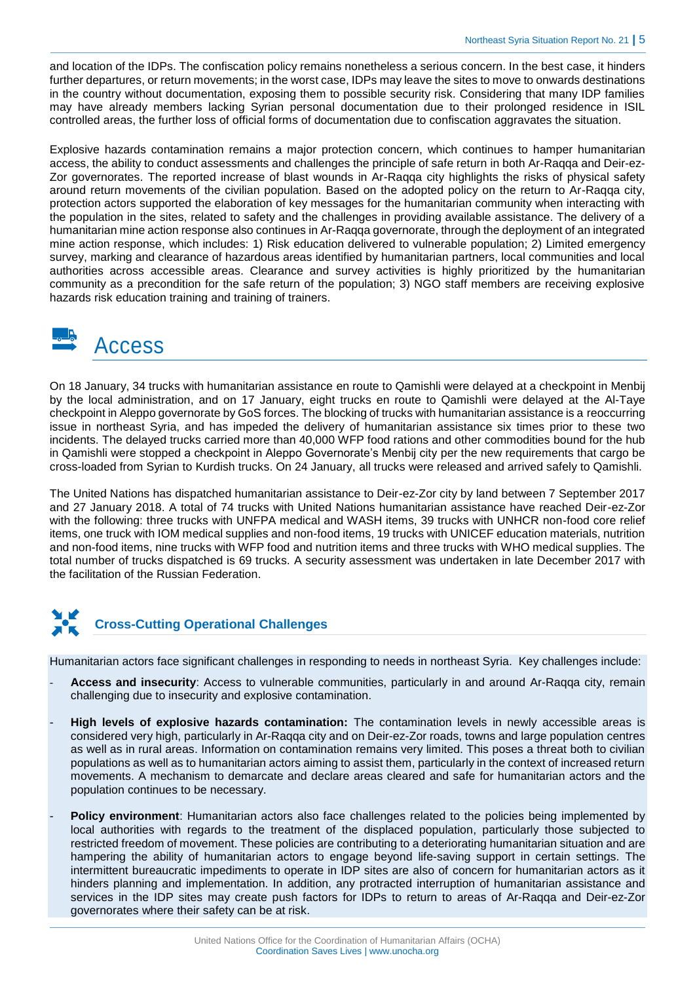and location of the IDPs. The confiscation policy remains nonetheless a serious concern. In the best case, it hinders further departures, or return movements; in the worst case, IDPs may leave the sites to move to onwards destinations in the country without documentation, exposing them to possible security risk. Considering that many IDP families may have already members lacking Syrian personal documentation due to their prolonged residence in ISIL controlled areas, the further loss of official forms of documentation due to confiscation aggravates the situation.

Explosive hazards contamination remains a major protection concern, which continues to hamper humanitarian access, the ability to conduct assessments and challenges the principle of safe return in both Ar-Raqqa and Deir-ez-Zor governorates. The reported increase of blast wounds in Ar-Raqqa city highlights the risks of physical safety around return movements of the civilian population. Based on the adopted policy on the return to Ar-Raqqa city, protection actors supported the elaboration of key messages for the humanitarian community when interacting with the population in the sites, related to safety and the challenges in providing available assistance. The delivery of a humanitarian mine action response also continues in Ar-Raqqa governorate, through the deployment of an integrated mine action response, which includes: 1) Risk education delivered to vulnerable population; 2) Limited emergency survey, marking and clearance of hazardous areas identified by humanitarian partners, local communities and local authorities across accessible areas. Clearance and survey activities is highly prioritized by the humanitarian community as a precondition for the safe return of the population; 3) NGO staff members are receiving explosive hazards risk education training and training of trainers.

### Access

On 18 January, 34 trucks with humanitarian assistance en route to Qamishli were delayed at a checkpoint in Menbij by the local administration, and on 17 January, eight trucks en route to Qamishli were delayed at the Al-Taye checkpoint in Aleppo governorate by GoS forces. The blocking of trucks with humanitarian assistance is a reoccurring issue in northeast Syria, and has impeded the delivery of humanitarian assistance six times prior to these two incidents. The delayed trucks carried more than 40,000 WFP food rations and other commodities bound for the hub in Qamishli were stopped a checkpoint in Aleppo Governorate's Menbij city per the new requirements that cargo be cross-loaded from Syrian to Kurdish trucks. On 24 January, all trucks were released and arrived safely to Qamishli.

The United Nations has dispatched humanitarian assistance to Deir-ez-Zor city by land between 7 September 2017 and 27 January 2018. A total of 74 trucks with United Nations humanitarian assistance have reached Deir-ez-Zor with the following: three trucks with UNFPA medical and WASH items, 39 trucks with UNHCR non-food core relief items, one truck with IOM medical supplies and non-food items, 19 trucks with UNICEF education materials, nutrition and non-food items, nine trucks with WFP food and nutrition items and three trucks with WHO medical supplies. The total number of trucks dispatched is 69 trucks. A security assessment was undertaken in late December 2017 with the facilitation of the Russian Federation.

# **Cross-Cutting Operational Challenges**

Humanitarian actors face significant challenges in responding to needs in northeast Syria. Key challenges include:

- **Access and insecurity**: Access to vulnerable communities, particularly in and around Ar-Raqqa city, remain challenging due to insecurity and explosive contamination.
- **High levels of explosive hazards contamination:** The contamination levels in newly accessible areas is considered very high, particularly in Ar-Raqqa city and on Deir-ez-Zor roads, towns and large population centres as well as in rural areas. Information on contamination remains very limited. This poses a threat both to civilian populations as well as to humanitarian actors aiming to assist them, particularly in the context of increased return movements. A mechanism to demarcate and declare areas cleared and safe for humanitarian actors and the population continues to be necessary.
- **Policy environment**: Humanitarian actors also face challenges related to the policies being implemented by local authorities with regards to the treatment of the displaced population, particularly those subjected to restricted freedom of movement. These policies are contributing to a deteriorating humanitarian situation and are hampering the ability of humanitarian actors to engage beyond life-saving support in certain settings. The intermittent bureaucratic impediments to operate in IDP sites are also of concern for humanitarian actors as it hinders planning and implementation. In addition, any protracted interruption of humanitarian assistance and services in the IDP sites may create push factors for IDPs to return to areas of Ar-Raqqa and Deir-ez-Zor governorates where their safety can be at risk.